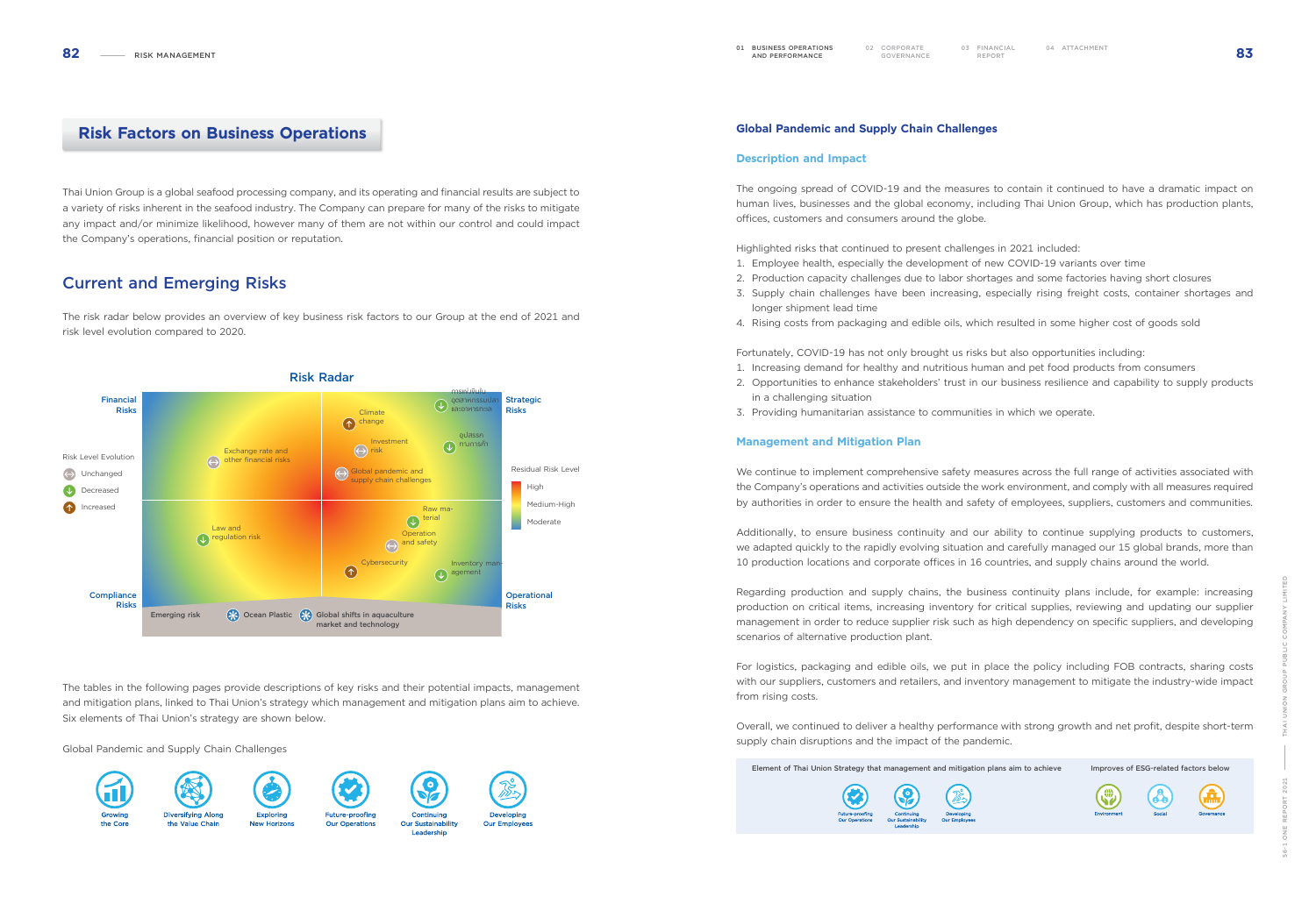







Global Pandemic and Supply Chain Challenges

#### Description and Impact

The ongoing spread of COVID-19 and the measures to contain it continued to have a dramatic impact on human lives, businesses and the global economy, including Thai Union Group, which has production plants, offices, customers and consumers around the globe.

Highlighted risks that continued to present challenges in 2021 included: 1. Employee health, especially the development of new COVID-19 variants over time 2. Production capacity challenges due to labor shortages and some factories having short closures 3. Supply chain challenges have been increasing, especially rising freight costs, container shortages and

- 
- longer shipment lead time
- 4. Rising costs from packaging and edible oils, which resulted in some higher cost of goods sold

Fortunately, COVID-19 has not only brought us risks but also opportunities including: 1. Increasing demand for healthy and nutritious human and pet food products from consumers 2. Opportunities to enhance stakeholders' trust in our business resilience and capability to supply products

- 
- in a challenging situation
- 3. Providing humanitarian assistance to communities in which we operate.

### Management and Mitigation Plan

We continue to implement comprehensive safety measures across the full range of activities associated with the Company's operations and activities outside the work environment, and comply with all measures required by authorities in order to ensure the health and safety of employees, suppliers, customers and communities.

Additionally, to ensure business continuity and our ability to continue supplying products to customers, we adapted quickly to the rapidly evolving situation and carefully managed our 15 global brands, more than 10 production locations and corporate offices in 16 countries, and supply chains around the world.

Regarding production and supply chains, the business continuity plans include, for example: increasing production on critical items, increasing inventory for critical supplies, reviewing and updating our supplier management in order to reduce supplier risk such as high dependency on specific suppliers, and developing scenarios of alternative production plant.

For logistics, packaging and edible oils, we put in place the policy including FOB contracts, sharing costs with our suppliers, customers and retailers, and inventory management to mitigate the industry-wide impact from rising costs.

Overall, we continued to deliver a healthy performance with strong growth and net profit, despite short-term supply chain disruptions and the impact of the pandemic.

Element of Thai Union Strategy that management and mitigation plans aim to achieve Improves of ESG-related factors below



# Risk Factors on Business Operations

Thai Union Group is a global seafood processing company, and its operating and financial results are subject to a variety of risks inherent in the seafood industry. The Company can prepare for many of the risks to mitigate any impact and/or minimize likelihood, however many of them are not within our control and could impact the Company's operations, financial position or reputation.

# Current and Emerging Risks

The risk radar below provides an overview of key business risk factors to our Group at the end of 2021 and risk level evolution compared to 2020.

The tables in the following pages provide descriptions of key risks and their potential impacts, management and mitigation plans, linked to Thai Union's strategy which management and mitigation plans aim to achieve. Six elements of Thai Union's strategy are shown below.

#### Global Pandemic and Supply Chain Challenges











Continuing Our Sustainability



Leadership



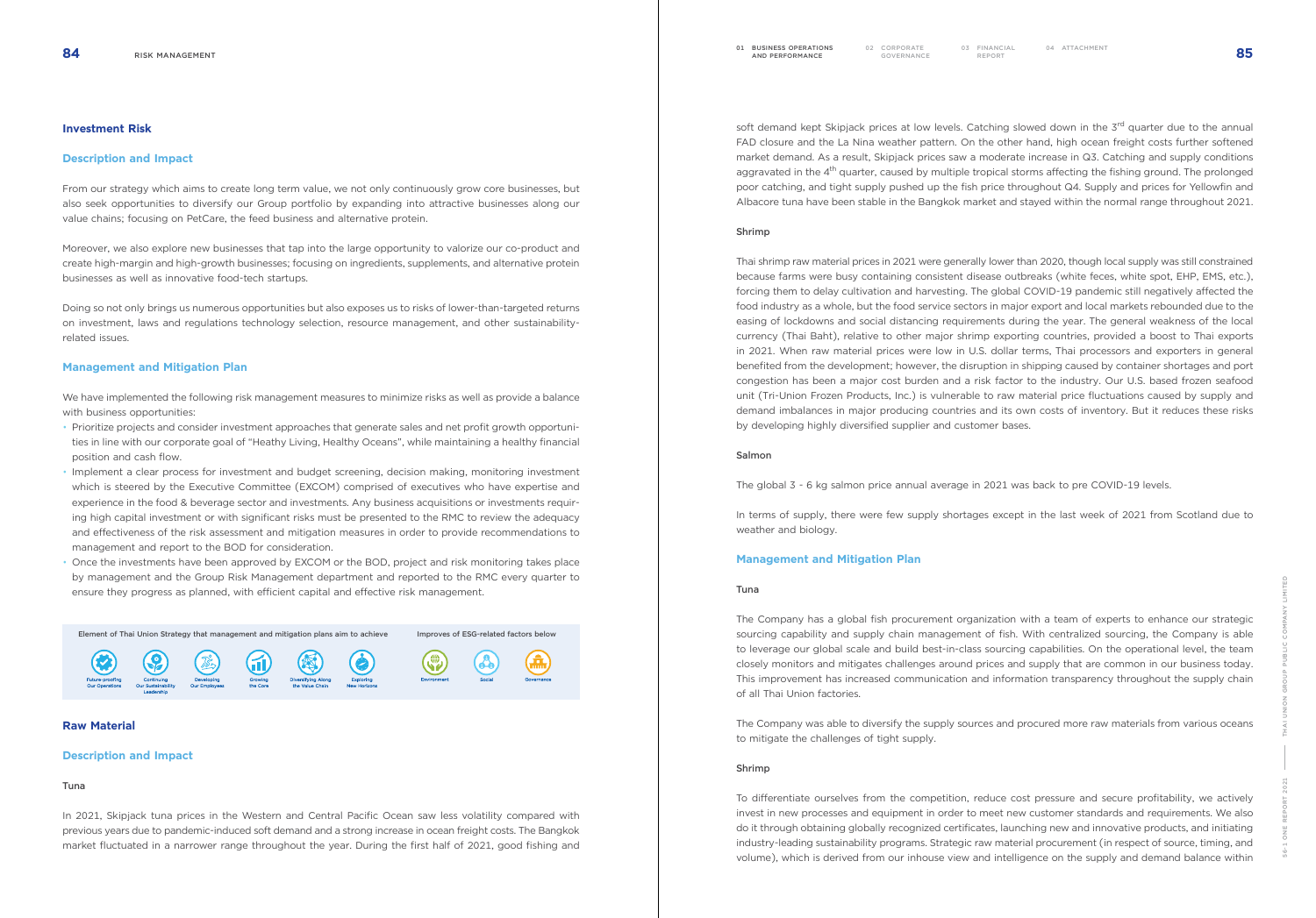CORPORATE 03 FINANCIAL<br>GOVERNANCE REPORT



#### Investment Risk

#### Description and Impact

From our strategy which aims to create long term value, we not only continuously grow core businesses, but also seek opportunities to diversify our Group portfolio by expanding into attractive businesses along our value chains; focusing on PetCare, the feed business and alternative protein.

Moreover, we also explore new businesses that tap into the large opportunity to valorize our co-product and create high-margin and high-growth businesses; focusing on ingredients, supplements, and alternative protein businesses as well as innovative food-tech startups.

Doing so not only brings us numerous opportunities but also exposes us to risks of lower-than-targeted returns on investment, laws and regulations technology selection, resource management, and other sustainabilityrelated issues.

#### Management and Mitigation Plan

We have implemented the following risk management measures to minimize risks as well as provide a balance with business opportunities:

soft demand kept Skipjack prices at low levels. Catching slowed down in the 3<sup>rd</sup> quarter due to the annual FAD closure and the La Nina weather pattern. On the other hand, high ocean freight costs further softened market demand. As a result, Skipjack prices saw a moderate increase in Q3. Catching and supply conditions aggravated in the 4<sup>th</sup> quarter, caused by multiple tropical storms affecting the fishing ground. The prolonged poor catching, and tight supply pushed up the fish price throughout Q4. Supply and prices for Yellowfin and Albacore tuna have been stable in the Bangkok market and stayed within the normal range throughout 2021.

- Prioritize projects and consider investment approaches that generate sales and net profit growth opportunities in line with our corporate goal of "Heathy Living, Healthy Oceans", while maintaining a healthy financial position and cash flow.
- Implement a clear process for investment and budget screening, decision making, monitoring investment which is steered by the Executive Committee (EXCOM) comprised of executives who have expertise and experience in the food & beverage sector and investments. Any business acquisitions or investments requiring high capital investment or with significant risks must be presented to the RMC to review the adequacy and effectiveness of the risk assessment and mitigation measures in order to provide recommendations to management and report to the BOD for consideration.
- Once the investments have been approved by EXCOM or the BOD, project and risk monitoring takes place by management and the Group Risk Management department and reported to the RMC every quarter to ensure they progress as planned, with efficient capital and effective risk management.



## Raw Material

#### Description and Impact

#### Tuna

In 2021, Skipjack tuna prices in the Western and Central Pacific Ocean saw less volatility compared with previous years due to pandemic-induced soft demand and a strong increase in ocean freight costs. The Bangkok market fluctuated in a narrower range throughout the year. During the first half of 2021, good fishing and

#### Shrimp

Thai shrimp raw material prices in 2021 were generally lower than 2020, though local supply was still constrained because farms were busy containing consistent disease outbreaks (white feces, white spot, EHP, EMS, etc.), forcing them to delay cultivation and harvesting. The global COVID-19 pandemic still negatively affected the food industry as a whole, but the food service sectors in major export and local markets rebounded due to the easing of lockdowns and social distancing requirements during the year. The general weakness of the local currency (Thai Baht), relative to other major shrimp exporting countries, provided a boost to Thai exports in 2021. When raw material prices were low in U.S. dollar terms, Thai processors and exporters in general benefited from the development; however, the disruption in shipping caused by container shortages and port congestion has been a major cost burden and a risk factor to the industry. Our U.S. based frozen seafood unit (Tri-Union Frozen Products, Inc.) is vulnerable to raw material price fluctuations caused by supply and demand imbalances in major producing countries and its own costs of inventory. But it reduces these risks by developing highly diversified supplier and customer bases.

#### Salmon

The global 3 - 6 kg salmon price annual average in 2021 was back to pre COVID-19 levels.

In terms of supply, there were few supply shortages except in the last week of 2021 from Scotland due to weather and biology.

#### Management and Mitigation Plan

#### Tuna

The Company has a global fish procurement organization with a team of experts to enhance our strategic sourcing capability and supply chain management of fish. With centralized sourcing, the Company is able to leverage our global scale and build best-in-class sourcing capabilities. On the operational level, the team closely monitors and mitigates challenges around prices and supply that are common in our business today. This improvement has increased communication and information transparency throughout the supply chain of all Thai Union factories.

The Company was able to diversify the supply sources and procured more raw materials from various oceans to mitigate the challenges of tight supply.

#### Shrimp

To differentiate ourselves from the competition, reduce cost pressure and secure profitability, we actively invest in new processes and equipment in order to meet new customer standards and requirements. We also do it through obtaining globally recognized certificates, launching new and innovative products, and initiating industry-leading sustainability programs. Strategic raw material procurement (in respect of source, timing, and volume), which is derived from our inhouse view and intelligence on the supply and demand balance within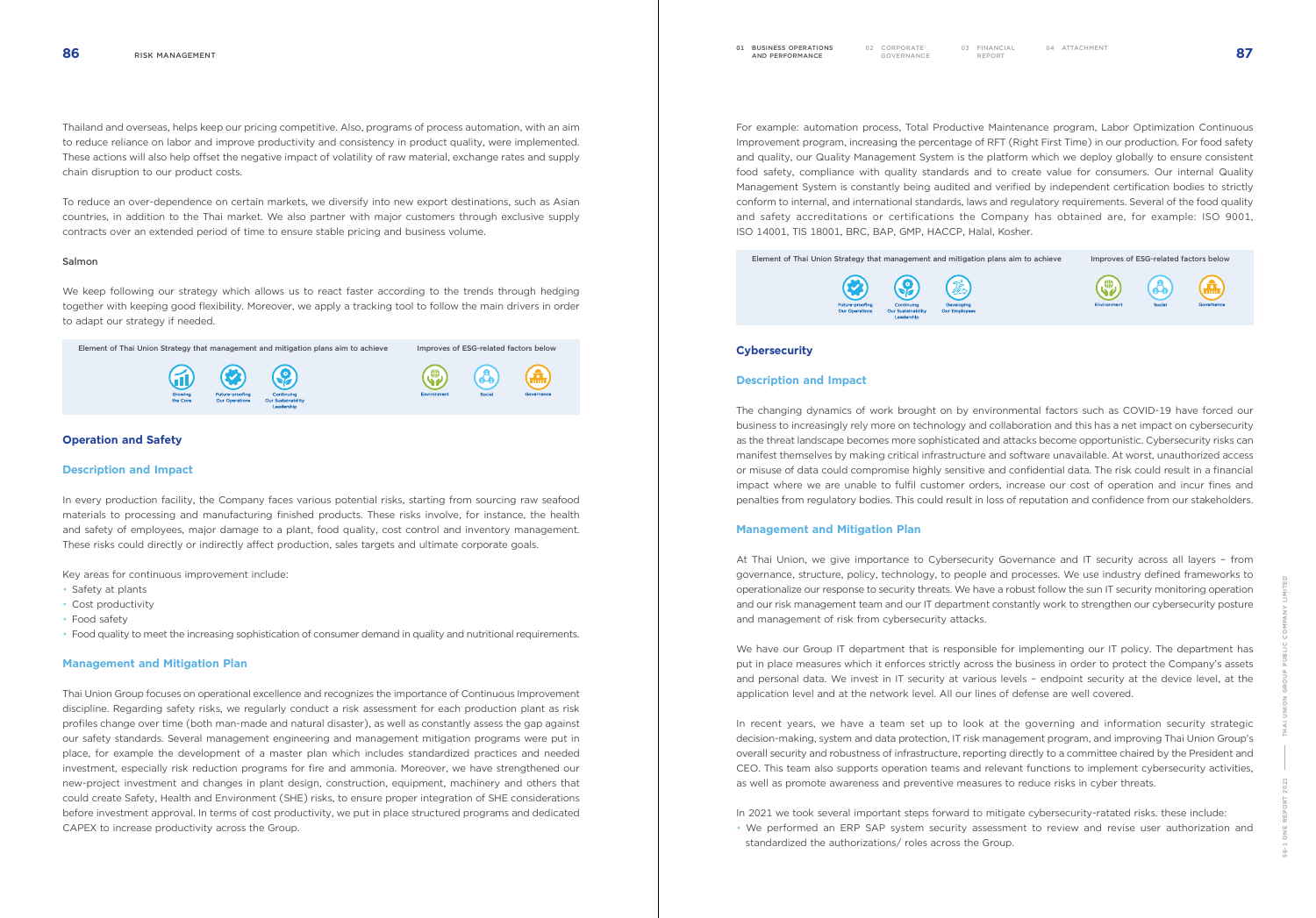CORPORATE 03 FINANCIAL<br>GOVERNANCE REPORT



For example: automation process, Total Productive Maintenance program, Labor Optimization Continuous Improvement program, increasing the percentage of RFT (Right First Time) in our production. For food safety and quality, our Quality Management System is the platform which we deploy globally to ensure consistent food safety, compliance with quality standards and to create value for consumers. Our internal Quality Management System is constantly being audited and verified by independent certification bodies to strictly conform to internal, and international standards, laws and regulatory requirements. Several of the food quality and safety accreditations or certifications the Company has obtained are, for example: ISO 9001, ISO 14001, TIS 18001, BRC, BAP, GMP, HACCP, Halal, Kosher.



#### **Cybersecurity**



#### Description and Impact

The changing dynamics of work brought on by environmental factors such as COVID-19 have forced our business to increasingly rely more on technology and collaboration and this has a net impact on cybersecurity as the threat landscape becomes more sophisticated and attacks become opportunistic. Cybersecurity risks can manifest themselves by making critical infrastructure and software unavailable. At worst, unauthorized access or misuse of data could compromise highly sensitive and confidential data. The risk could result in a financial impact where we are unable to fulfil customer orders, increase our cost of operation and incur fines and penalties from regulatory bodies. This could result in loss of reputation and confidence from our stakeholders.

#### Management and Mitigation Plan

At Thai Union, we give importance to Cybersecurity Governance and IT security across all layers – from governance, structure, policy, technology, to people and processes. We use industry defined frameworks to operationalize our response to security threats. We have a robust follow the sun IT security monitoring operation and our risk management team and our IT department constantly work to strengthen our cybersecurity posture and management of risk from cybersecurity attacks.

We have our Group IT department that is responsible for implementing our IT policy. The department has put in place measures which it enforces strictly across the business in order to protect the Company's assets and personal data. We invest in IT security at various levels – endpoint security at the device level, at the application level and at the network level. All our lines of defense are well covered.

In recent years, we have a team set up to look at the governing and information security strategic decision-making, system and data protection, IT risk management program, and improving Thai Union Group's overall security and robustness of infrastructure, reporting directly to a committee chaired by the President and CEO. This team also supports operation teams and relevant functions to implement cybersecurity activities, as well as promote awareness and preventive measures to reduce risks in cyber threats.

In 2021 we took several important steps forward to mitigate cybersecurity-ratated risks. these include: • We performed an ERP SAP system security assessment to review and revise user authorization and standardized the authorizations/ roles across the Group.

Thailand and overseas, helps keep our pricing competitive. Also, programs of process automation, with an aim to reduce reliance on labor and improve productivity and consistency in product quality, were implemented. These actions will also help offset the negative impact of volatility of raw material, exchange rates and supply chain disruption to our product costs.

To reduce an over-dependence on certain markets, we diversify into new export destinations, such as Asian countries, in addition to the Thai market. We also partner with major customers through exclusive supply contracts over an extended period of time to ensure stable pricing and business volume.

#### Salmon

We keep following our strategy which allows us to react faster according to the trends through hedging together with keeping good flexibility. Moreover, we apply a tracking tool to follow the main drivers in order to adapt our strategy if needed.

Element of Thai Union Strategy that management and mitigation plans aim to achieve Improves of ESG-related factors below



### Operation and Safety

#### Description and Impact

In every production facility, the Company faces various potential risks, starting from sourcing raw seafood materials to processing and manufacturing finished products. These risks involve, for instance, the health and safety of employees, major damage to a plant, food quality, cost control and inventory management. These risks could directly or indirectly affect production, sales targets and ultimate corporate goals.

Key areas for continuous improvement include:

- Safety at plants
- Cost productivity
- Food safety
- Food quality to meet the increasing sophistication of consumer demand in quality and nutritional requirements.

#### Management and Mitigation Plan

Thai Union Group focuses on operational excellence and recognizes the importance of Continuous Improvement discipline. Regarding safety risks, we regularly conduct a risk assessment for each production plant as risk profiles change over time (both man-made and natural disaster), as well as constantly assess the gap against our safety standards. Several management engineering and management mitigation programs were put in place, for example the development of a master plan which includes standardized practices and needed investment, especially risk reduction programs for fire and ammonia. Moreover, we have strengthened our new-project investment and changes in plant design, construction, equipment, machinery and others that could create Safety, Health and Environment (SHE) risks, to ensure proper integration of SHE considerations before investment approval. In terms of cost productivity, we put in place structured programs and dedicated CAPEX to increase productivity across the Group.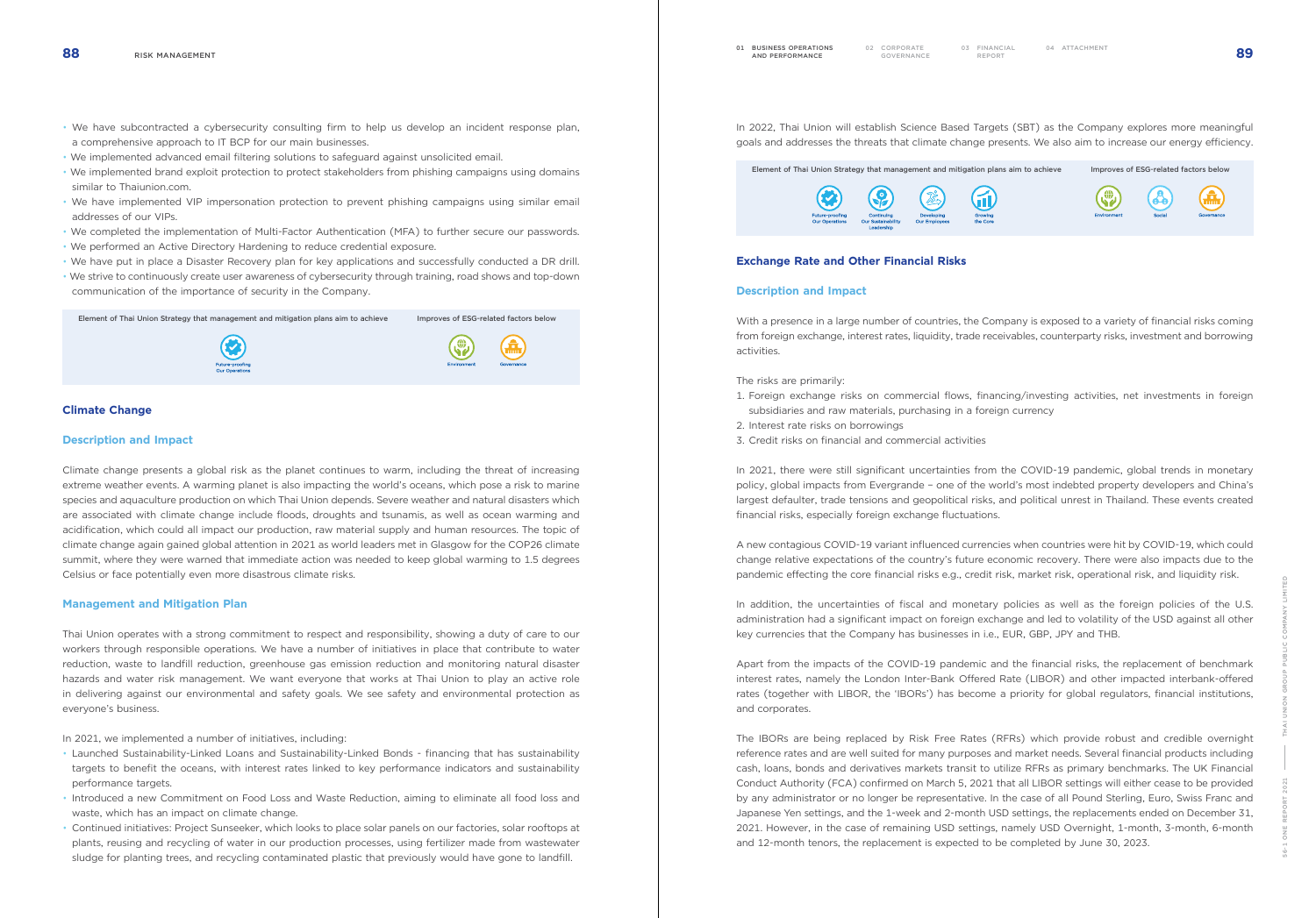01 BUSINESS OPERATIONS

**BUSINESS OPERATIONS** 02 CORPORATE<br>**AND PERFORMANCE** GOVERNANC

CORPORATE 03 FINANCIAL<br>GOVERNANCE REPORT



- We have subcontracted a cybersecurity consulting firm to help us develop an incident response plan, a comprehensive approach to IT BCP for our main businesses.
- We implemented advanced email filtering solutions to safeguard against unsolicited email.
- We implemented brand exploit protection to protect stakeholders from phishing campaigns using domains similar to Thaiunion.com.
- We have implemented VIP impersonation protection to prevent phishing campaigns using similar email addresses of our VIPs.
- We completed the implementation of Multi-Factor Authentication (MFA) to further secure our passwords.
- We performed an Active Directory Hardening to reduce credential exposure.
- We have put in place a Disaster Recovery plan for key applications and successfully conducted a DR drill. • We strive to continuously create user awareness of cybersecurity through training, road shows and top-down
- communication of the importance of security in the Company.

Element of Thai Union Strategy that management and mitigation plans aim to achieve Improves of ESG-related factors below





## Climate Change

#### Description and Impact

Climate change presents a global risk as the planet continues to warm, including the threat of increasing extreme weather events. A warming planet is also impacting the world's oceans, which pose a risk to marine species and aquaculture production on which Thai Union depends. Severe weather and natural disasters which are associated with climate change include floods, droughts and tsunamis, as well as ocean warming and acidification, which could all impact our production, raw material supply and human resources. The topic of climate change again gained global attention in 2021 as world leaders met in Glasgow for the COP26 climate summit, where they were warned that immediate action was needed to keep global warming to 1.5 degrees Celsius or face potentially even more disastrous climate risks.

With a presence in a large number of countries, the Company is exposed to a variety of financial risks coming from foreign exchange, interest rates, liquidity, trade receivables, counterparty risks, investment and borrowing activities.

#### Management and Mitigation Plan

Thai Union operates with a strong commitment to respect and responsibility, showing a duty of care to our workers through responsible operations. We have a number of initiatives in place that contribute to water reduction, waste to landfill reduction, greenhouse gas emission reduction and monitoring natural disaster hazards and water risk management. We want everyone that works at Thai Union to play an active role in delivering against our environmental and safety goals. We see safety and environmental protection as everyone's business.

In addition, the uncertainties of fiscal and monetary policies as well as the foreign policies of the U.S. administration had a significant impact on foreign exchange and led to volatility of the USD against all other key currencies that the Company has businesses in i.e., EUR, GBP, JPY and THB.

In 2021, we implemented a number of initiatives, including:

- Launched Sustainability-Linked Loans and Sustainability-Linked Bonds financing that has sustainability targets to benefit the oceans, with interest rates linked to key performance indicators and sustainability performance targets.
- Introduced a new Commitment on Food Loss and Waste Reduction, aiming to eliminate all food loss and waste, which has an impact on climate change.
- Continued initiatives: Project Sunseeker, which looks to place solar panels on our factories, solar rooftops at plants, reusing and recycling of water in our production processes, using fertilizer made from wastewater sludge for planting trees, and recycling contaminated plastic that previously would have gone to landfill.

In 2022, Thai Union will establish Science Based Targets (SBT) as the Company explores more meaningful goals and addresses the threats that climate change presents. We also aim to increase our energy efficiency.



# Exchange Rate and Other Financial Risks

### Description and Impact

The risks are primarily:

- 1. Foreign exchange risks on commercial flows, financing/investing activities, net investments in foreign subsidiaries and raw materials, purchasing in a foreign currency
- 2. Interest rate risks on borrowings
- 3. Credit risks on financial and commercial activities

In 2021, there were still significant uncertainties from the COVID-19 pandemic, global trends in monetary policy, global impacts from Evergrande – one of the world's most indebted property developers and China's largest defaulter, trade tensions and geopolitical risks, and political unrest in Thailand. These events created financial risks, especially foreign exchange fluctuations.

A new contagious COVID-19 variant influenced currencies when countries were hit by COVID-19, which could change relative expectations of the country's future economic recovery. There were also impacts due to the pandemic effecting the core financial risks e.g., credit risk, market risk, operational risk, and liquidity risk.

Apart from the impacts of the COVID-19 pandemic and the financial risks, the replacement of benchmark interest rates, namely the London Inter-Bank Offered Rate (LIBOR) and other impacted interbank-offered rates (together with LIBOR, the 'IBORs') has become a priority for global regulators, financial institutions, and corporates.

The IBORs are being replaced by Risk Free Rates (RFRs) which provide robust and credible overnight reference rates and are well suited for many purposes and market needs. Several financial products including cash, loans, bonds and derivatives markets transit to utilize RFRs as primary benchmarks. The UK Financial Conduct Authority (FCA) confirmed on March 5, 2021 that all LIBOR settings will either cease to be provided by any administrator or no longer be representative. In the case of all Pound Sterling, Euro, Swiss Franc and Japanese Yen settings, and the 1-week and 2-month USD settings, the replacements ended on December 31, 2021. However, in the case of remaining USD settings, namely USD Overnight, 1-month, 3-month, 6-month and 12-month tenors, the replacement is expected to be completed by June 30, 2023.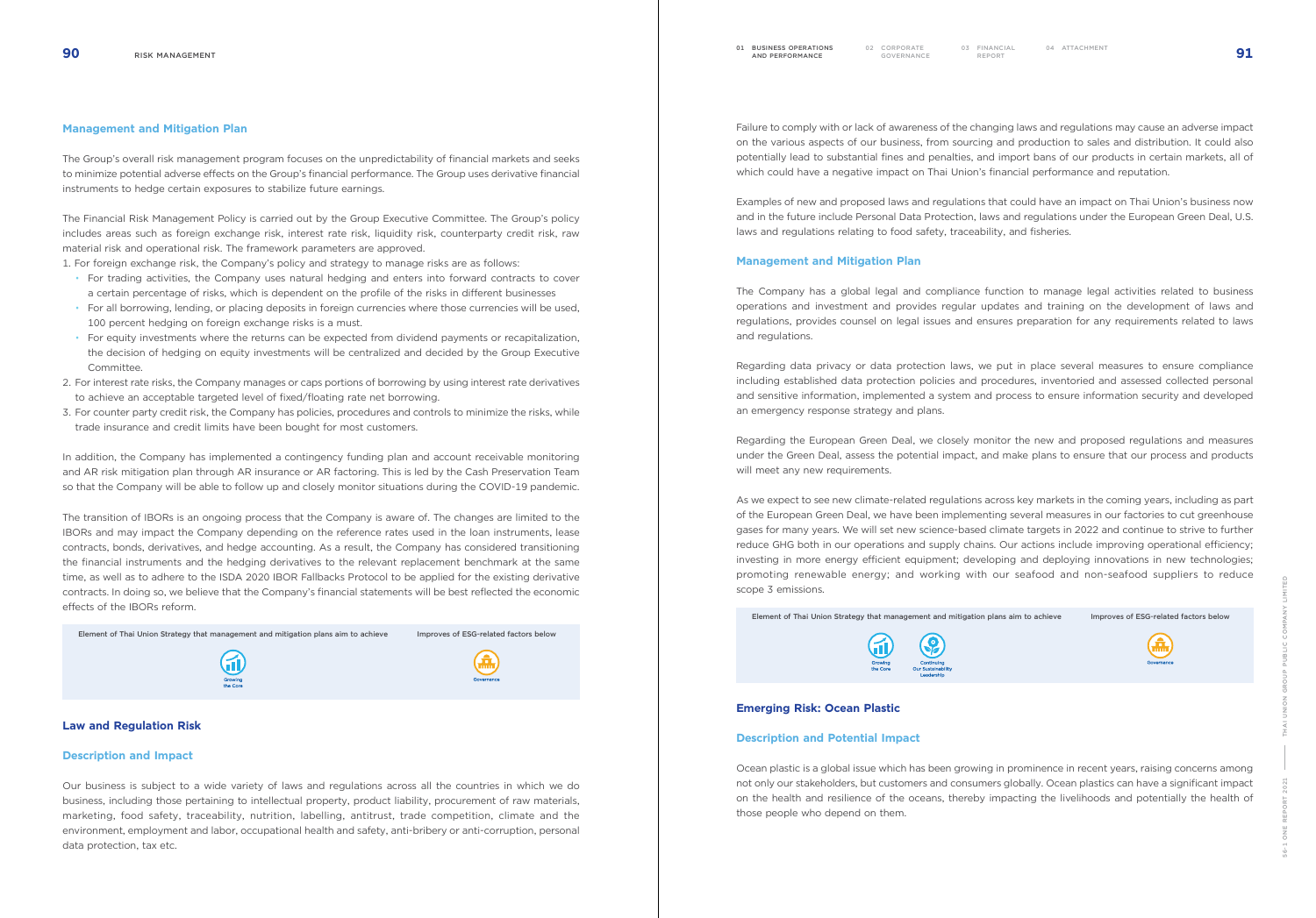



#### Management and Mitigation Plan

The Group's overall risk management program focuses on the unpredictability of financial markets and seeks to minimize potential adverse effects on the Group's financial performance. The Group uses derivative financial instruments to hedge certain exposures to stabilize future earnings.

The Financial Risk Management Policy is carried out by the Group Executive Committee. The Group's policy includes areas such as foreign exchange risk, interest rate risk, liquidity risk, counterparty credit risk, raw material risk and operational risk. The framework parameters are approved.

1. For foreign exchange risk, the Company's policy and strategy to manage risks are as follows:

- For trading activities, the Company uses natural hedging and enters into forward contracts to cover a certain percentage of risks, which is dependent on the profile of the risks in different businesses
- For all borrowing, lending, or placing deposits in foreign currencies where those currencies will be used, 100 percent hedging on foreign exchange risks is a must.
- For equity investments where the returns can be expected from dividend payments or recapitalization, the decision of hedging on equity investments will be centralized and decided by the Group Executive Committee.
- 2. For interest rate risks, the Company manages or caps portions of borrowing by using interest rate derivatives to achieve an acceptable targeted level of fixed/floating rate net borrowing.
- 3. For counter party credit risk, the Company has policies, procedures and controls to minimize the risks, while trade insurance and credit limits have been bought for most customers.

In addition, the Company has implemented a contingency funding plan and account receivable monitoring and AR risk mitigation plan through AR insurance or AR factoring. This is led by the Cash Preservation Team so that the Company will be able to follow up and closely monitor situations during the COVID-19 pandemic.

The transition of IBORs is an ongoing process that the Company is aware of. The changes are limited to the IBORs and may impact the Company depending on the reference rates used in the loan instruments, lease contracts, bonds, derivatives, and hedge accounting. As a result, the Company has considered transitioning the financial instruments and the hedging derivatives to the relevant replacement benchmark at the same time, as well as to adhere to the ISDA 2020 IBOR Fallbacks Protocol to be applied for the existing derivative contracts. In doing so, we believe that the Company's financial statements will be best reflected the economic effects of the IBORs reform.

Element of Thai Union Strategy that management and mitigation plans aim to achieve Improves of ESG-related factors below





#### Law and Regulation Risk

#### Description and Impact

Our business is subject to a wide variety of laws and regulations across all the countries in which we do business, including those pertaining to intellectual property, product liability, procurement of raw materials, marketing, food safety, traceability, nutrition, labelling, antitrust, trade competition, climate and the environment, employment and labor, occupational health and safety, anti-bribery or anti-corruption, personal data protection, tax etc.

01 BUSINESS OPERATIONS

**BUSINESS OPERATIONS** 02 CORPORATE<br>**AND PERFORMANCE** GOVERNANC

CORPORATE 03 FINANCIAL<br>GOVERNANCE REPORT

Failure to comply with or lack of awareness of the changing laws and regulations may cause an adverse impact on the various aspects of our business, from sourcing and production to sales and distribution. It could also potentially lead to substantial fines and penalties, and import bans of our products in certain markets, all of which could have a negative impact on Thai Union's financial performance and reputation.

Examples of new and proposed laws and regulations that could have an impact on Thai Union's business now and in the future include Personal Data Protection, laws and regulations under the European Green Deal, U.S. laws and regulations relating to food safety, traceability, and fisheries.

#### Management and Mitigation Plan

The Company has a global legal and compliance function to manage legal activities related to business operations and investment and provides regular updates and training on the development of laws and regulations, provides counsel on legal issues and ensures preparation for any requirements related to laws and regulations.

Regarding data privacy or data protection laws, we put in place several measures to ensure compliance including established data protection policies and procedures, inventoried and assessed collected personal and sensitive information, implemented a system and process to ensure information security and developed an emergency response strategy and plans.

Regarding the European Green Deal, we closely monitor the new and proposed regulations and measures under the Green Deal, assess the potential impact, and make plans to ensure that our process and products will meet any new requirements.

As we expect to see new climate-related regulations across key markets in the coming years, including as part of the European Green Deal, we have been implementing several measures in our factories to cut greenhouse gases for many years. We will set new science-based climate targets in 2022 and continue to strive to further reduce GHG both in our operations and supply chains. Our actions include improving operational efficiency; investing in more energy efficient equipment; developing and deploying innovations in new technologies; promoting renewable energy; and working with our seafood and non-seafood suppliers to reduce scope 3 emissions.

Element of Thai Union Strategy that management and mitigation plans aim to achieve Improves of ESG-related factors below



#### Emerging Risk: Ocean Plastic

#### Description and Potential Impact

Ocean plastic is a global issue which has been growing in prominence in recent years, raising concerns among not only our stakeholders, but customers and consumers globally. Ocean plastics can have a significant impact on the health and resilience of the oceans, thereby impacting the livelihoods and potentially the health of those people who depend on them.